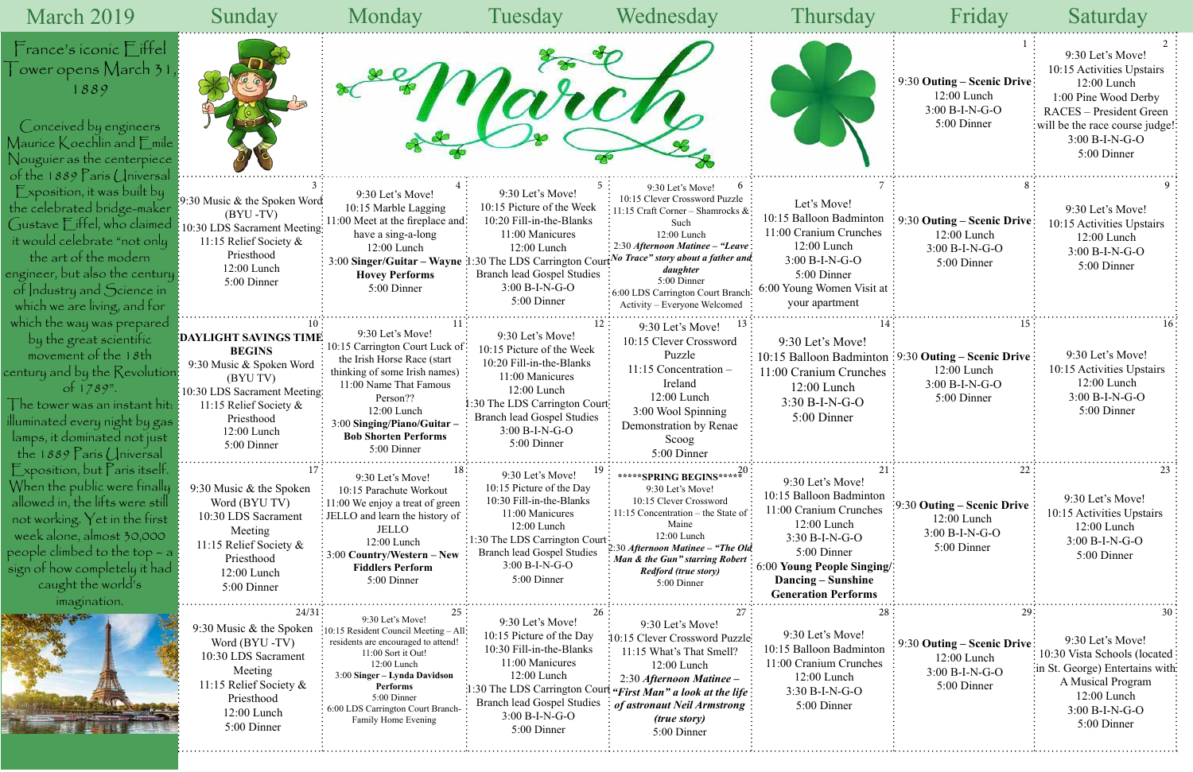|                                                       | Friday                                                                              | Saturday                                                                                                                                                                                             |
|-------------------------------------------------------|-------------------------------------------------------------------------------------|------------------------------------------------------------------------------------------------------------------------------------------------------------------------------------------------------|
|                                                       | 1<br>9:30 Outing – Scenic Drive<br>12:00 Lunch<br>$3:00 B-I-N-G-O$<br>5:00 Dinner   | $\overline{2}$<br>9:30 Let's Move!<br>10:15 Activities Upstairs<br>12:00 Lunch<br>1:00 Pine Wood Derby<br>RACES - President Green<br>will be the race course judge!<br>3:00 B-I-N-G-O<br>5:00 Dinner |
| 7<br>m<br>:S<br>at:                                   | 8<br>9:30 Outing – Scenic Drive<br>12:00 Lunch<br>$3:00 B-I-N-G-O$<br>5:00 Dinner   | 9<br>9:30 Let's Move!<br>10:15 Activities Upstairs<br>12:00 Lunch<br>3:00 B-I-N-G-O<br>5:00 Dinner                                                                                                   |
| 14<br>on<br>es                                        | 15<br>9:30 Outing – Scenic Drive<br>12:00 Lunch<br>$3:00 B-I-N-G-O$<br>5:00 Dinner  | 16<br>9:30 Let's Move!<br>10:15 Activities Upstairs<br>12:00 Lunch<br>$3:00 B-I-N-G-O$<br>5:00 Dinner                                                                                                |
| 21<br>эn<br>$\overline{\mathbf{S}}$<br>$\mathbf{ng}/$ | 22<br>9:30 Outing – Scenic Drive<br>$12:00$ Lunch<br>3:00 B-I-N-G-O<br>5:00 Dinner  | 23<br>9:30 Let's Move!<br>10:15 Activities Upstairs<br>12:00 Lunch<br>3:00 B-I-N-G-O<br>5:00 Dinner                                                                                                  |
| 28<br>οn<br>S:                                        | 29:<br>9:30 Outing – Scenic Drive<br>12:00 Lunch<br>$3:00 B-I-N-G-O$<br>5:00 Dinner | 30<br>9:30 Let's Move!<br>10:30 Vista Schools (located<br>in St. George) Entertains with-<br>A Musical Program<br>12:00 Lunch<br>$3:00 B-I-N-G-O$<br>5:00 Dinner                                     |
|                                                       |                                                                                     |                                                                                                                                                                                                      |

| March 2019                                                                                                                                                                                                                                                                       | Sunday                                                                                                                                                                               | Monday                                                                                                                                                                                                                                                               | Tuesday                                                                                                                                                                                                             | Wednesday                                                                                                                                                                                                                                                                                    | Thursday                                                                                                                                                                                                  | Friday                                                                                                     | Saturday                                                                                                                                                                                  |
|----------------------------------------------------------------------------------------------------------------------------------------------------------------------------------------------------------------------------------------------------------------------------------|--------------------------------------------------------------------------------------------------------------------------------------------------------------------------------------|----------------------------------------------------------------------------------------------------------------------------------------------------------------------------------------------------------------------------------------------------------------------|---------------------------------------------------------------------------------------------------------------------------------------------------------------------------------------------------------------------|----------------------------------------------------------------------------------------------------------------------------------------------------------------------------------------------------------------------------------------------------------------------------------------------|-----------------------------------------------------------------------------------------------------------------------------------------------------------------------------------------------------------|------------------------------------------------------------------------------------------------------------|-------------------------------------------------------------------------------------------------------------------------------------------------------------------------------------------|
| $\Box$ France's iconic $\Box$ iffel<br>$^-$ ower opens March 31<br>1889<br>Conceived by engineers<br>$M$ aurice $K$ oechlin and $E$ mile $\colon$<br>Nouguier as the centerpiece:<br>of the $1889$ Paris Universal                                                               |                                                                                                                                                                                      |                                                                                                                                                                                                                                                                      |                                                                                                                                                                                                                     |                                                                                                                                                                                                                                                                                              |                                                                                                                                                                                                           | 9:30 Outing – Scenic Drive:<br>$12:00$ Lunch<br>$3:00 B-I-N-G-O$<br>5:00 Dinner                            | 9:30 Let's Move!<br>10:15 Activities Upstairs<br>12:00 Lunch<br>1:00 Pine Wood Derby<br><b>RACES</b> – President Green<br>will be the race course judge!<br>3:00 B-I-N-G-O<br>5:00 Dinner |
| $\mathop{\mathsf{Exposition}}\nolimits$ , it was built by<br>the celebrated bridge-maker<br>Gustave Eiffel, who claimed<br>it would celebrate "not only<br>the art of the modern<br>engineer, but also the century<br>of Industry and Science in<br>which we are living, and for | :9:30 Music & the Spoken Word<br>$(BYU - TV)$<br>: 10:30 LDS Sacrament Meeting:<br>11:15 Relief Society &<br>Priesthood<br>12:00 Lunch<br>5:00 Dinner                                | 9:30 Let's Move!<br>10:15 Marble Lagging<br>$\therefore$ 11:00 Meet at the fireplace and:<br>have a sing-a-long<br>12:00 Lunch<br>3:00 Singer/Guitar - Wayne 1:30 The LDS Carrington Cou<br><b>Hovey Performs</b><br>5:00 Dinner                                     | 9:30 Let's Move!<br>10:15 Picture of the Week<br>10:20 Fill-in-the-Blanks<br>11:00 Manicures<br>12:00 Lunch<br><b>Branch lead Gospel Studies</b><br>3:00 B-I-N-G-O<br>5:00 Dinner                                   | 9:30 Let's Move!<br>10:15 Clever Crossword Puzzle<br>11:15 Craft Corner – Shamrocks &:<br>Such<br>12:00 Lunch<br>$: 2:30$ Afternoon Matinee – "Leave:<br>No Trace" story about a father and<br>daughter<br>5:00 Dinner<br>6:00 LDS Carrington Court Branch<br>Activity – Everyone Welcomed : | Let's Move!<br>10:15 Balloon Badminton<br>11:00 Cranium Crunches<br>$12:00$ Lunch<br>$3:00 B-I-N-G-O$<br>5:00 Dinner<br>6:00 Young Women Visit at<br>your apartment                                       | $\approx 9:30$ Outing – Scenic Drive:<br>12:00 Lunch<br>3:00 B-I-N-G-O<br>5:00 Dinner                      | 9:30 Let's Move!<br>10:15 Activities Upstairs<br>$12:00$ Lunch<br>3:00 B-I-N-G-O<br>5:00 Dinner                                                                                           |
| which the way was prepared<br>by the great scientific<br>movement of the 18th<br>century and by the Revolution:<br>ot $1789$ ".<br>he tower was an instant hit:<br>illuminated every night by gas {<br>lamps, it dominated not just<br>the 1889 $\sqrt{$ aris (Iniversal         | DAYLIGHT SAVINGS TIME<br><b>BEGINS</b><br>9:30 Music & Spoken Word<br>(BYU TV)<br>10:30 LDS Sacrament Meeting:<br>11:15 Relief Society &<br>Priesthood<br>12:00 Lunch<br>5:00 Dinner | 9:30 Let's Move!<br>10:15 Carrington Court Luck of:<br>the Irish Horse Race (start<br>thinking of some Irish names)<br>11:00 Name That Famous<br>Person??<br>12:00 Lunch<br>3:00 Singing/Piano/Guitar-<br><b>Bob Shorten Performs</b><br>5:00 Dinner                 | 9:30 Let's Move!<br>10:15 Picture of the Week<br>10:20 Fill-in-the-Blanks<br>11:00 Manicures<br>12:00 Lunch<br>1:30 The LDS Carrington Court:<br><b>Branch lead Gospel Studies</b><br>3:00 B-I-N-G-O<br>5:00 Dinner | 9:30 Let's Move!<br>10:15 Clever Crossword<br>Puzzle<br>$11:15$ Concentration -<br>Ireland<br>12:00 Lunch<br>3:00 Wool Spinning<br>Demonstration by Renae<br>Scoog<br>5:00 Dinner                                                                                                            | 9:30 Let's Move!<br>11:00 Cranium Crunches<br>12:00 Lunch<br>$3:30 B-I-N-G-O$<br>5:00 Dinner                                                                                                              | 10:15 Balloon Badminton : 9:30 Outing – Scenic Drive :<br>$12:00$ Lunch<br>$3:00 B-I-N-G-O$<br>5:00 Dinner | 9:30 Let's Move!<br>10:15 Activities Upstairs<br>12:00 Lunch<br>3:00 B-I-N-G-O<br>5:00 Dinner                                                                                             |
| Exposition, but Paris itself.<br>When the public were finally<br>allowed in, the lifts were still<br>not working. Yet in the first<br>week alone, almost 30,000<br>people climbed to the top $\sim$ a<br>sign of how completely it had<br>caught the world's<br>imagination.     | 9:30 Music & the Spoken<br>Word (BYU TV)<br>10:30 LDS Sacrament<br>Meeting<br>11:15 Relief Society &<br>Priesthood<br>12:00 Lunch<br>5:00 Dinner                                     | 9:30 Let's Move!<br>10:15 Parachute Workout<br>$\frac{1}{2}$ 11:00 We enjoy a treat of green<br>: JELLO and learn the history of :<br>JELLO<br>12:00 Lunch<br>$\frac{1}{2}$ 3:00 Country/Western – New<br><b>Fiddlers Perform</b><br>5:00 Dinner                     | 9:30 Let's Move!<br>10:15 Picture of the Day<br>10:30 Fill-in-the-Blanks<br>11:00 Manicures<br>12:00 Lunch<br>:1:30 The LDS Carrington Court<br><b>Branch lead Gospel Studies</b><br>3:00 B-I-N-G-O<br>5:00 Dinner  | *****SPRING BEGINS***** <sup>20</sup><br>9:30 Let's Move!<br>10:15 Clever Crossword<br>11:15 Concentration – the State of<br>Maine<br>12:00 Lunch<br>2:30 Afternoon Matinee – "The Old<br>: Man & the Gun" starring Robert<br><b>Redford (true story)</b><br>5:00 Dinner                     | 9:30 Let's Move!<br>10:15 Balloon Badminton<br>11:00 Cranium Crunches<br>12:00 Lunch<br>$3:30 B-I-N-G-O$<br>5:00 Dinner<br>6:00 Young People Singing/<br>Dancing – Sunshine<br><b>Generation Performs</b> | $\div 9.30$ Outing – Scenic Drive<br>12:00 Lunch<br>$3:00 B-I-N-G-O$<br>5:00 Dinner                        | 9:30 Let's Move!<br>10:15 Activities Upstairs<br>12:00 Lunch<br>3:00 B-I-N-G-O<br>5:00 Dinner                                                                                             |
|                                                                                                                                                                                                                                                                                  | 24/31<br>9:30 Music & the Spoken<br>Word (BYU-TV)<br>10:30 LDS Sacrament<br>Meeting<br>11:15 Relief Society &<br>Priesthood<br>12:00 Lunch<br>5:00 Dinner                            | 9:30 Let's Move!<br>$\cdot$ 10:15 Resident Council Meeting - All<br>residents are encouraged to attend!<br>11:00 Sort it Out!<br>12:00 Lunch<br>3:00 Singer - Lynda Davidson<br>Performs<br>5:00 Dinner<br>: 6:00 LDS Carrington Court Branch<br>Family Home Evening | 9:30 Let's Move!<br>10:15 Picture of the Day<br>10:30 Fill-in-the-Blanks<br>11:00 Manicures<br>12:00 Lunch<br><b>Branch lead Gospel Studies</b><br>3:00 B-I-N-G-O<br>5:00 Dinner                                    | 9:30 Let's Move!<br>10:15 Clever Crossword Puzzle-<br>11:15 What's That Smell?<br>12:00 Lunch<br>$2:30$ Afternoon Matinee -<br>1:30 The LDS Carrington Court "First Man" a look at the life:<br>of astronaut Neil Armstrong<br><i>(true story)</i><br>5:00 Dinner                            | 9:30 Let's Move!<br>10:15 Balloon Badminton<br>11:00 Cranium Crunches<br>12:00 Lunch<br>$3:30 B-I-N-G-O$<br>5:00 Dinner                                                                                   | $9:30$ Outing – Scenic Drive<br>12:00 Lunch<br>$3:00 B-I-N-G-O$<br>5:00 Dinner                             | 9:30 Let's Move!<br>10:30 Vista Schools (located<br>in St. George) Entertains with<br>A Musical Program<br>12:00 Lunch<br>$3:00 B-I-N-G-O$<br>5:00 Dinner                                 |